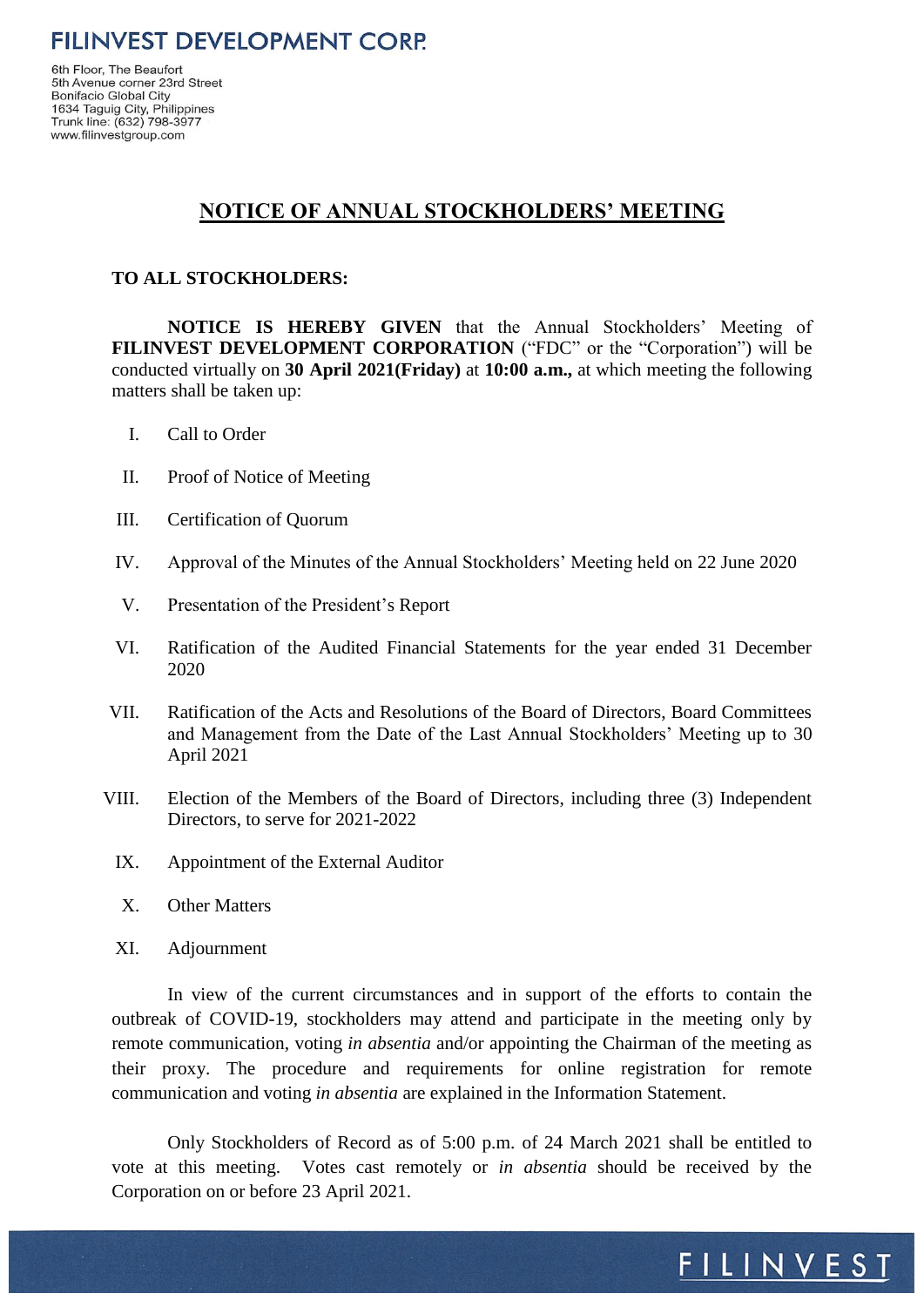6th Floor, The Beaufort 5th Avenue corner 23rd Street Bonifacio Global City 1634 Taguig City, Philippines<br>Trunk line: (632) 798-3977 www.filinvestgroup.com

# **NOTICE OF ANNUAL STOCKHOLDERS' MEETING**

### **TO ALL STOCKHOLDERS:**

**NOTICE IS HEREBY GIVEN** that the Annual Stockholders' Meeting of **FILINVEST DEVELOPMENT CORPORATION** ("FDC" or the "Corporation") will be conducted virtually on **30 April 2021(Friday)** at **10:00 a.m.,** at which meeting the following matters shall be taken up:

- I. Call to Order
- II. Proof of Notice of Meeting
- III. Certification of Quorum
- IV. Approval of the Minutes of the Annual Stockholders' Meeting held on 22 June 2020
- V. Presentation of the President's Report
- VI. Ratification of the Audited Financial Statements for the year ended 31 December 2020
- VII. Ratification of the Acts and Resolutions of the Board of Directors, Board Committees and Management from the Date of the Last Annual Stockholders' Meeting up to 30 April 2021
- VIII. Election of the Members of the Board of Directors, including three (3) Independent Directors, to serve for 2021-2022
	- IX. Appointment of the External Auditor
	- X. Other Matters
	- XI. Adjournment

In view of the current circumstances and in support of the efforts to contain the outbreak of COVID-19, stockholders may attend and participate in the meeting only by remote communication, voting *in absentia* and/or appointing the Chairman of the meeting as their proxy. The procedure and requirements for online registration for remote communication and voting *in absentia* are explained in the Information Statement.

Only Stockholders of Record as of 5:00 p.m. of 24 March 2021 shall be entitled to vote at this meeting. Votes cast remotely or *in absentia* should be received by the Corporation on or before 23 April 2021.

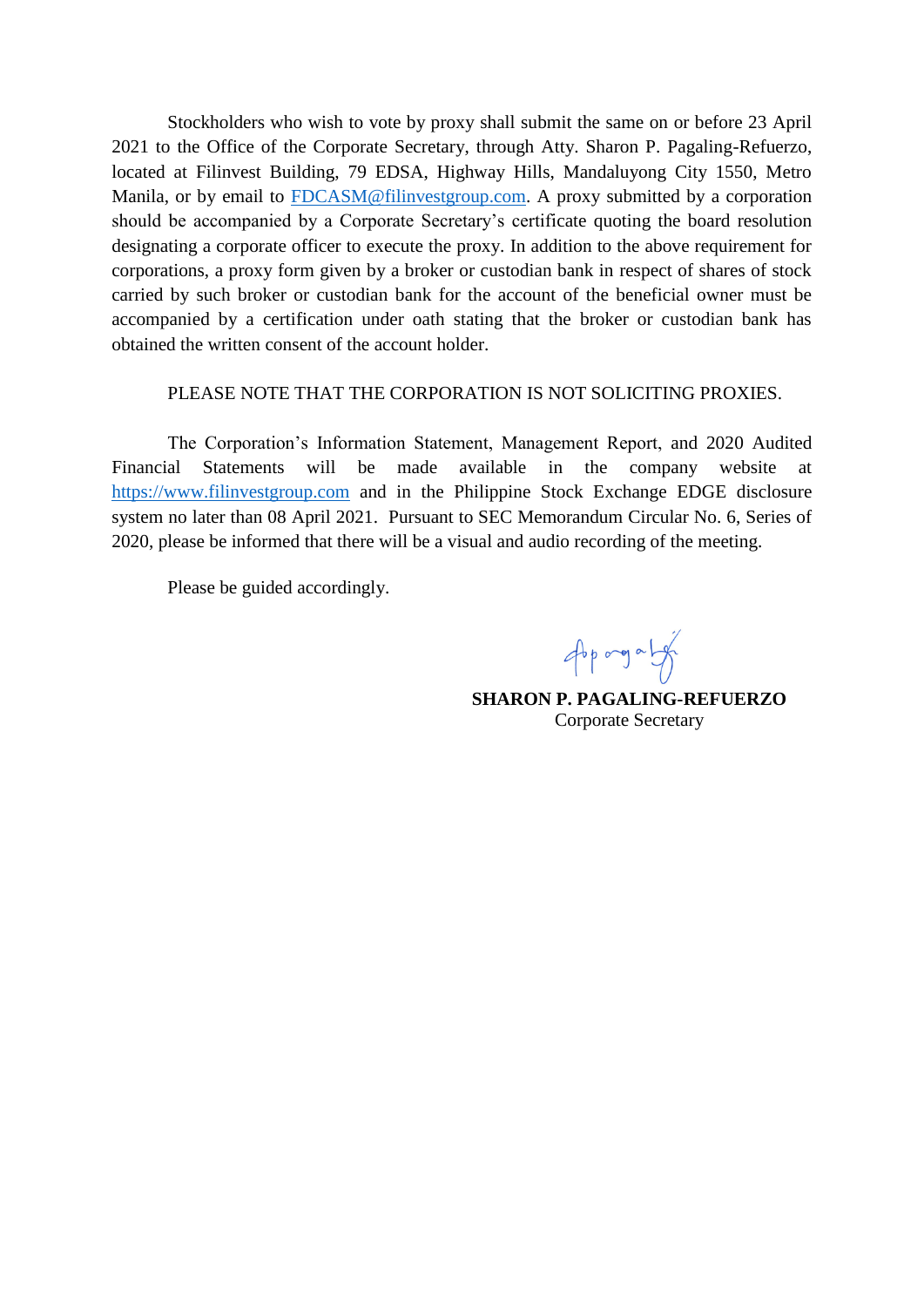Stockholders who wish to vote by proxy shall submit the same on or before 23 April 2021 to the Office of the Corporate Secretary, through Atty. Sharon P. Pagaling-Refuerzo, located at Filinvest Building, 79 EDSA, Highway Hills, Mandaluyong City 1550, Metro Manila, or by email to [FDCASM@filinvestgroup.com.](mailto:FDCASM2021@filinvestgroup.com) A proxy submitted by a corporation should be accompanied by a Corporate Secretary's certificate quoting the board resolution designating a corporate officer to execute the proxy. In addition to the above requirement for corporations, a proxy form given by a broker or custodian bank in respect of shares of stock carried by such broker or custodian bank for the account of the beneficial owner must be accompanied by a certification under oath stating that the broker or custodian bank has obtained the written consent of the account holder.

#### PLEASE NOTE THAT THE CORPORATION IS NOT SOLICITING PROXIES.

The Corporation's Information Statement, Management Report, and 2020 Audited Financial Statements will be made available in the company website at [https://www.filinvestgroup.com](https://www.filinvestgroup.com/) and in the Philippine Stock Exchange EDGE disclosure system no later than 08 April 2021. Pursuant to SEC Memorandum Circular No. 6, Series of 2020, please be informed that there will be a visual and audio recording of the meeting.

Please be guided accordingly.

Approgram

**SHARON P. PAGALING-REFUERZO** Corporate Secretary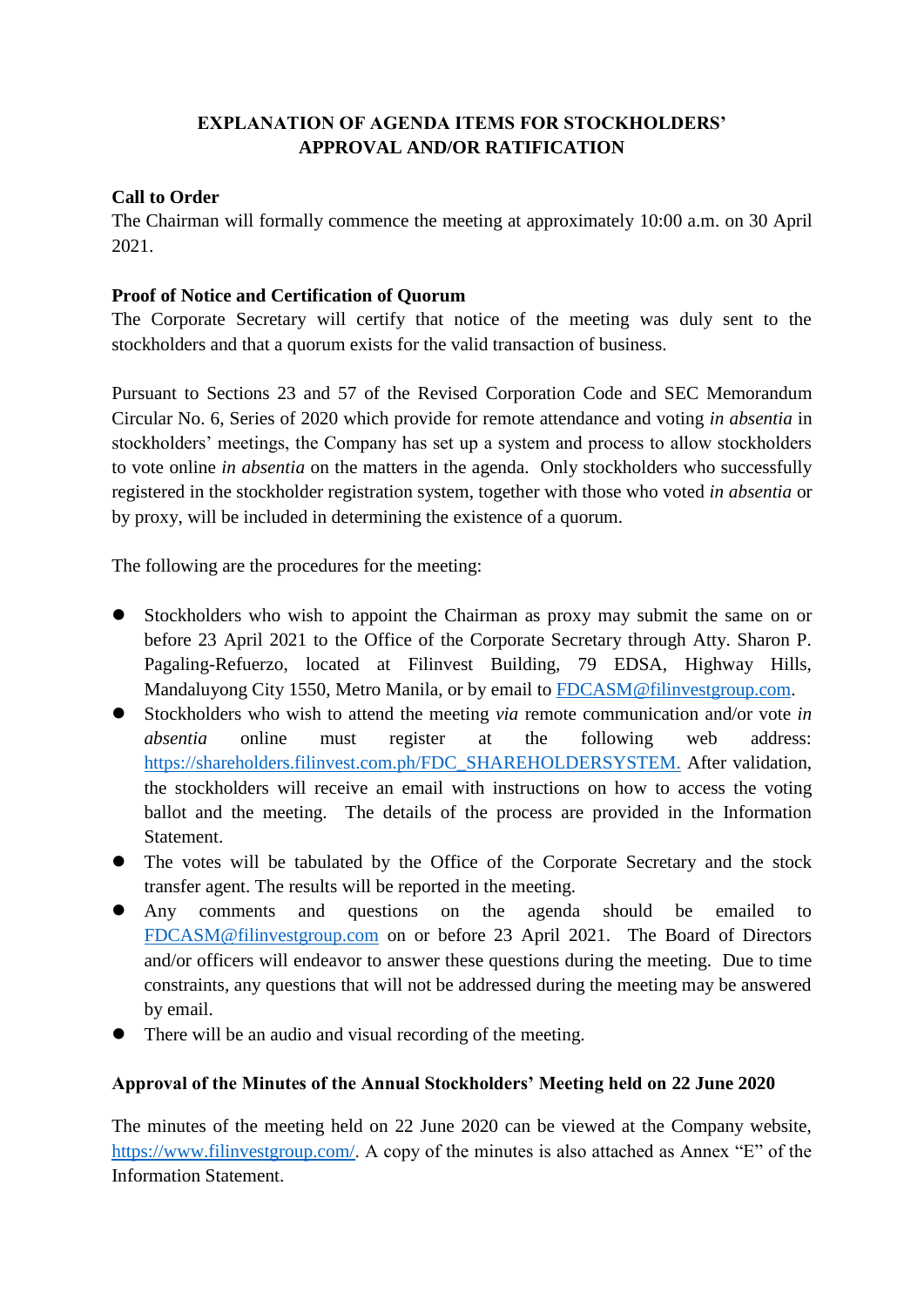# **EXPLANATION OF AGENDA ITEMS FOR STOCKHOLDERS' APPROVAL AND/OR RATIFICATION**

### **Call to Order**

The Chairman will formally commence the meeting at approximately 10:00 a.m. on 30 April 2021.

# **Proof of Notice and Certification of Quorum**

The Corporate Secretary will certify that notice of the meeting was duly sent to the stockholders and that a quorum exists for the valid transaction of business.

Pursuant to Sections 23 and 57 of the Revised Corporation Code and SEC Memorandum Circular No. 6, Series of 2020 which provide for remote attendance and voting *in absentia* in stockholders' meetings, the Company has set up a system and process to allow stockholders to vote online *in absentia* on the matters in the agenda. Only stockholders who successfully registered in the stockholder registration system, together with those who voted *in absentia* or by proxy, will be included in determining the existence of a quorum.

The following are the procedures for the meeting:

- Stockholders who wish to appoint the Chairman as proxy may submit the same on or before 23 April 2021 to the Office of the Corporate Secretary through Atty. Sharon P. Pagaling-Refuerzo, located at Filinvest Building, 79 EDSA, Highway Hills, Mandaluyong City 1550, Metro Manila, or by email to [FDCASM@filinvestgroup.com.](mailto:FDCASM@filinvestgroup.com)
- Stockholders who wish to attend the meeting *via* remote communication and/or vote *in absentia* online must register at the following web address: [https://shareholders.filinvest.com.ph/FDC\\_SHAREHOLDERSYSTEM.](https://shareholders.filinvest.com.ph/FDC_SHAREHOLDERSYSTEM) After validation, the stockholders will receive an email with instructions on how to access the voting ballot and the meeting. The details of the process are provided in the Information Statement.
- The votes will be tabulated by the Office of the Corporate Secretary and the stock transfer agent. The results will be reported in the meeting.
- Any comments and questions on the agenda should be emailed to [FDCASM@filinvestgroup.com](mailto:FDCASM@filinvestgroup.com) on or before 23 April 2021. The Board of Directors and/or officers will endeavor to answer these questions during the meeting. Due to time constraints, any questions that will not be addressed during the meeting may be answered by email.
- There will be an audio and visual recording of the meeting.

### **Approval of the Minutes of the Annual Stockholders' Meeting held on 22 June 2020**

The minutes of the meeting held on 22 June 2020 can be viewed at the Company website, [https://www.filinvestgroup.com/.](https://www.filinvestgroup.com/) A copy of the minutes is also attached as Annex "E" of the Information Statement.